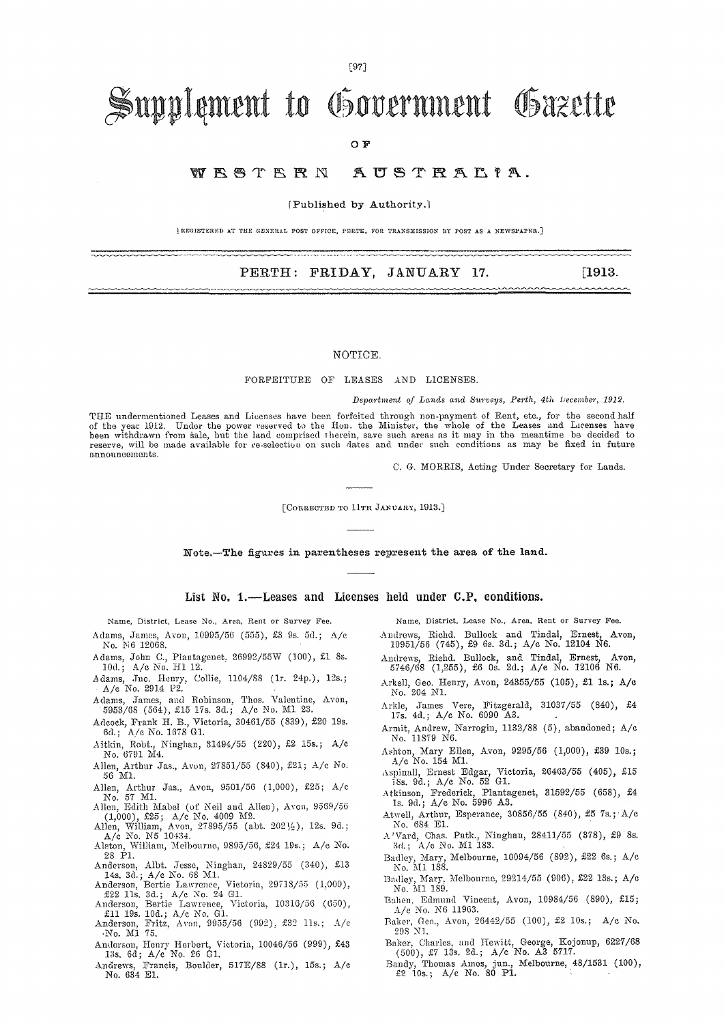#### $[97]$

# Supplement to Government Gazette

OF.

#### WESTERN AUSTRALIA.

(Published by Authority.)

(REGISTERED AT THE GENERAL POST OFFICE, PERTE, FOR TRANSMISSION BY POST AS A NEWSPAPER.]

#### PERTH: FRIDAY, JANUARY 17.

 $[1913]$ 

#### NOTICE.

#### FORFEITURE OF LEASES AND LICENSES.

Department of Lands and Surveys, Perth, 4th December, 1912.

THE undermentioned Leases and Licenses have been forfeited through non-payment of Rent, etc., for the second half of the year 1912. Under the power reserved to the Hon. the Minister, the whole of the Leases and Licenses have<br>been withdrawn from sale, but the land comprised therein, save such areas as it may in the meantime be decided announcements.

C. G. MORRIS, Acting Under Secretary for Lands.

[CORRECTED TO 11TH JANUARY, 1913.]

Note.-The figures in parentheses represent the area of the land.

List No. 1.—Leases and Licenses held under C.P. conditions.

Name, District, Lease No., Area, Rent or Survey Fee.

- Adams, James, Avon, 10995/56 (555), £3 9s. 5d.; A/c No. N6 12068.
- Adams, John C., Plantagenet, 26992/55W (100), £1 8s.<br>10d.; A/c No. H1 12.
- Adams, Jno. Henry, Collie, 1104/88 (1r. 24p.), 12s.; A/c No. 2914 P2.
- Adams, James, and Robinson, Thos. Valentine, Avon, 5953/68 (564), £15 17s. 3d.; A/c No. M1 23.
- Adeock, Frank H. B., Victoria, 30461/55 (839), £20 19s.<br>6d.; A/e No. 1678 G1.
- Aitkin, Robt., Ninghan, 31494/55 (220), £2 15s.; A/c No. 6791 M4.
- Allen, Arthur Jas., Avon, 27851/55 (840), £21; A/c No. 56 M1.
- Allen, Arthur Jas., Avon, 9501/56 (1,000), £25; A/c<br>No. 57 M1.
- No. 57 ML<br>Allen, Edith Mabel (of Neil and Allen), Avon, 9569/56<br>(1,000), £25; A/c No. 4009 M2.<br>Allen, William, Avon, 27895/55 (abt. 2021/2), 12s. 9d.;<br>A/c No. N5 10434.<br>Alston, William, Melbourne, 9895/56, £24 19s.; A/c No
- 
- 28 Pl.
- 28 P1.<br>
Anderson, Albt. Jesse, Ninghan, 24829/55 (340), £13<br>
14s, 3d.; A/c No. 68 M1.<br>
Anderson, Bertie Lawrence, Victoria, 29718/55 (1,000),<br>
£22 11s. 3d.; A/c No. 24 G1.<br>
Anderson, Bertie Lawrence, Victoria, 10316/56 (65
- 
- 
- 
- Anderson, Henry Herbert, Victoria, 10046/56 (999), £43<br>13s. 6d; A/c No. 26 G1.
- Andrews, Francis, Boulder, 517E/88 (1r.), 15s.; A/c No. 634 E1.

Name, District, Lease No., Area, Rent or Survey Fee.

- Andrews, Richd. Bullock and Tindal, Ernest, Avon, 10951/56 (745), £9 6s. 3d.; A/c No. 12104 N6.
- Andrews, Richd. Bullock, and Tindal, Ernest, Avon, 5746/68 (1,255), £6 0s. 2d.; A/c No. 12106 N6.
- Arkell, Geo. Henry, Avon, 24355/55 (105), £1 1s.; A/c No. 204 N1.
- Arkle, James Vere, Fitzgerald, 31037/55 (840), £4<br>17s. 4d.; A/c No. 6090 A3.
- Armit, Andrew, Narrogin, 1132/88 (5), abandoned; A/c No. 11879 N6.
- Ashton, Mary Ellen, Avon, 9295/56 (1,000), £39 10s.; A/c No. 154 M1.
- Aspinall, Ernest Edgar, Victoria, 26463/55 (405), £15<br>18s. 9d.; A/c No. 52 G1.
- Atkinson, Frederick, Plantagenet, 31592/55 (658), £4<br>1s. 9d.; A/c No. 5996 A3.
- Atwell, Arthur, Esperance, 30856/55 (840), £5 7s.; A/c No. 684 E1.
- $\Lambda$ 'Vard, Chas. Patk., Ninghan, 28411/55 (378), £9 8<br/>s. 3d.; A/c No. M1 183.
- Badley, Mary, Melbourne, 10094/56 (892), £22 6s.; A/c No. M1 188.
- Badley, Mary, Melbourne, 29214/55 (906), £22 13s.; A/c No. M1 189.
- Bahen, Edmund Vincent, Avon, 10984/56 (890), £15;  $A/e$  No. N6 11963.
- Baker, Geo., Avon, 26442/55 (100), £2 10s.; A/c No. 298 N1.
- Baker, Charles, and Hewitt, George, Kojonup, 6227/68 (500), £7 13s. 2d.; A/c No. A3 5717.
- Bandy, Thomas Amos, jun., Melbourne, 48/1531 (100), £2 10s.; A/c No. 80 P1.